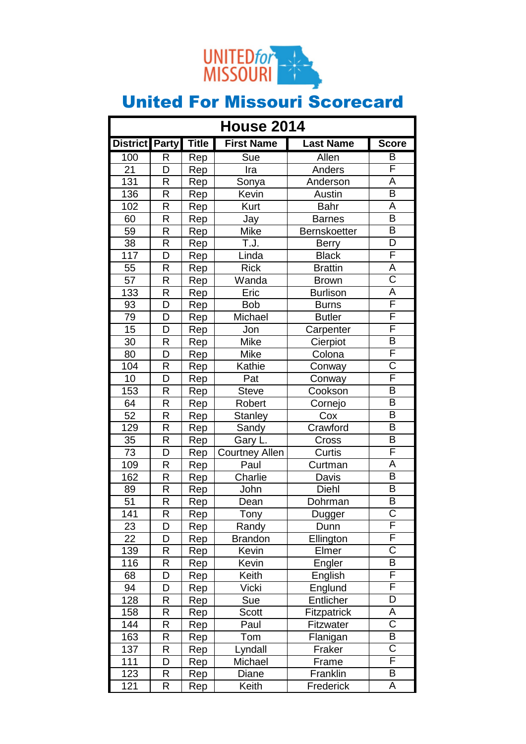

| <b>House 2014</b> |              |              |                          |                     |                         |
|-------------------|--------------|--------------|--------------------------|---------------------|-------------------------|
| <b>District</b>   | <b>Party</b> | <b>Title</b> | <b>First Name</b>        | <b>Last Name</b>    | <b>Score</b>            |
| 100               | R            | Rep          | $\overline{\text{S}}$ ue | Allen               | B                       |
| 21                | D            | Rep          | Ira                      | Anders              | F                       |
| 131               | R            | Rep          | Sonya                    | Anderson            | Ā                       |
| 136               | R            | Rep          | Kevin                    | Austin              | $\overline{\mathsf{B}}$ |
| 102               | R            | Rep          | Kurt                     | <b>Bahr</b>         | $\overline{\mathsf{A}}$ |
| 60                | R            | Rep          | Jay                      | <b>Barnes</b>       | $\overline{\mathsf{B}}$ |
| 59                | R            | Rep          | Mike                     | <b>Bernskoetter</b> | B                       |
| $\overline{38}$   | R            | Rep          | T.J.                     | <b>Berry</b>        | $\overline{\mathsf{D}}$ |
| 117               | D            | Rep          | Linda                    | <b>Black</b>        | F                       |
| 55                | R            | Rep          | <b>Rick</b>              | <b>Brattin</b>      | A                       |
| 57                | R            | Rep          | Wanda                    | <b>Brown</b>        | $\overline{\text{C}}$   |
| 133               | R            | Rep          | Eric                     | <b>Burlison</b>     | Ā                       |
| 93                | D            | Rep          | <b>Bob</b>               | <b>Burns</b>        | F                       |
| 79                | D            | Rep          | Michael                  | <b>Butler</b>       | F                       |
| 15                | D            | Rep          | Jon                      | Carpenter           | F                       |
| 30                | R            | Rep          | <b>Mike</b>              | Cierpiot            | $\overline{\mathsf{B}}$ |
| 80                | D            | Rep          | <b>Mike</b>              | Colona              | F                       |
| 104               | R            | Rep          | Kathie                   | Conway              | $\overline{\text{C}}$   |
| 10                | D            | Rep          | Pat                      | Conway              | F                       |
| 153               | R            | Rep          | <b>Steve</b>             | Cookson             | $\overline{\mathsf{B}}$ |
| 64                | R            | Rep          | Robert                   | Cornejo             | B                       |
| 52                | R            | Rep          | <b>Stanley</b>           | Cox                 | B                       |
| 129               | R            | Rep          | Sandy                    | Crawford            | $\overline{\mathsf{B}}$ |
| 35                | R            | Rep          | Gary L.                  | Cross               | B                       |
| 73                | D            | Rep          | <b>Courtney Allen</b>    | Curtis              | F                       |
| 109               | R            | Rep          | Paul                     | Curtman             | A                       |
| 162               | R            | Rep          | Charlie                  | Davis               | $\overline{\mathsf{B}}$ |
| 89                | R            | Rep          | John                     | Diehl               | B                       |
| 51                | R            | Rep          | Dean                     | Dohrman             | $\overline{\mathsf{B}}$ |
| 141               | R            | Rep          | Tony                     | Dugger              | $\overline{\text{C}}$   |
| 23                | D            | Rep          | Randy                    | Dunn                | Ē                       |
| 22                | D            | Rep          | <b>Brandon</b>           | Ellington           | F                       |
| 139               | R            | Rep          | Kevin                    | Elmer               | $\overline{\text{C}}$   |
| 116               | R            | Rep          | Kevin                    | Engler              | B                       |
| 68                | D            | Rep          | Keith                    | English             | F                       |
| 94                | D            | Rep          | Vicki                    | Englund             | F                       |
| 128               | R            | Rep          | Sue                      | Entlicher           | D                       |
| 158               | R            | Rep          | Scott                    | <b>Fitzpatrick</b>  | А                       |
| 144               | R            | Rep          | Paul                     | <b>Fitzwater</b>    | $\overline{\mathsf{C}}$ |
| 163               | R            | Rep          | Tom                      | Flanigan            | B                       |
| 137               | R            | Rep          | Lyndall                  | Fraker              | $\overline{\text{C}}$   |
| 111               | D            | Rep          | Michael                  | Frame               | F                       |
| 123               | R            | Rep          | Diane                    | Franklin            | B                       |
| 121               | R            | Rep          | Keith                    | Frederick           | Α                       |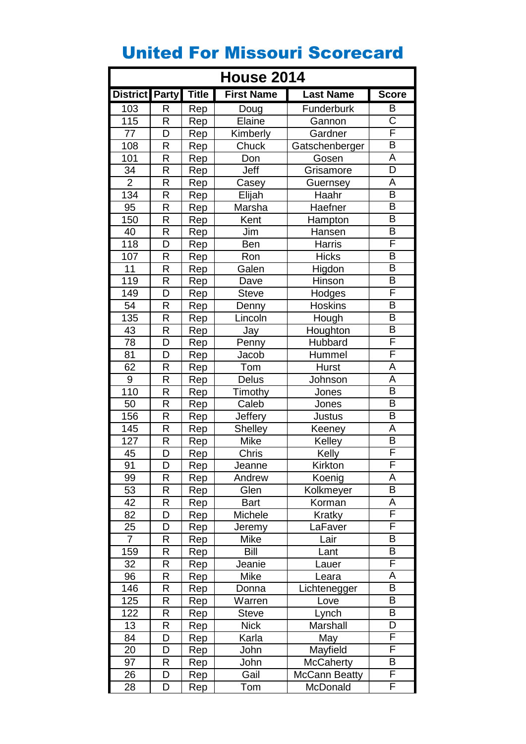| <b>House 2014</b>     |   |              |                   |                      |                         |
|-----------------------|---|--------------|-------------------|----------------------|-------------------------|
| <b>District Party</b> |   | <b>Title</b> | <b>First Name</b> | <b>Last Name</b>     | <b>Score</b>            |
| 103                   | R | Rep          | Doug              | Funderburk           | B                       |
| 115                   | R | Rep          | Elaine            | Gannon               | $\overline{\text{C}}$   |
| 77                    | D | Rep          | Kimberly          | Gardner              | F                       |
| 108                   | R | Rep          | Chuck             | Gatschenberger       | $\overline{\mathsf{B}}$ |
| 101                   | R | Rep          | Don               | Gosen                | A                       |
| 34                    | R | Rep          | Jeff              | Grisamore            | D                       |
| $\overline{2}$        | R | Rep          | Casey             | Guernsey             | A                       |
| 134                   | R | Rep          | Elijah            | Haahr                | $\overline{\mathsf{B}}$ |
| 95                    | R | Rep          | Marsha            | Haefner              | B                       |
| 150                   | R | Rep          | Kent              | Hampton              | $\overline{\mathsf{B}}$ |
| 40                    | R | Rep          | Jim               | Hansen               | $\overline{\mathsf{B}}$ |
| 118                   | D | Rep          | Ben               | Harris               | F                       |
| 107                   | R | Rep          | Ron               | <b>Hicks</b>         | B                       |
| 11                    | R | Rep          | Galen             | Higdon               | $\overline{\mathsf{B}}$ |
| 119                   | R | Rep          | Dave              | Hinson               | B                       |
| 149                   | D | Rep          | <b>Steve</b>      | Hodges               | F                       |
| 54                    | R | Rep          | Denny             | <b>Hoskins</b>       | $\overline{\mathsf{B}}$ |
| 135                   | R | Rep          | Lincoln           | Hough                | $\overline{\mathsf{B}}$ |
| 43                    | R | Rep          | Jay               | Houghton             | B                       |
| 78                    | D | Rep          | Penny             | Hubbard              | F                       |
| 81                    | D | Rep          | Jacob             | Hummel               | F                       |
| 62                    | R | Rep          | Tom               | <b>Hurst</b>         | A                       |
| $\boldsymbol{9}$      | R | Rep          | Delus             | Johnson              | A                       |
| 110                   | R | Rep          | Timothy           | Jones                | $\overline{\mathsf{B}}$ |
| 50                    | R | Rep          | Caleb             | Jones                | B                       |
| 156                   | R | Rep          | Jeffery           | Justus               | $\overline{\mathsf{B}}$ |
| 145                   | R | Rep          | <b>Shelley</b>    | Keeney               | A                       |
| 127                   | R | Rep          | Mike              | Kelley               | $\overline{\mathsf{B}}$ |
| 45                    | D | Rep          | Chris             | Kelly                | F                       |
| 91                    | D | Rep          | Jeanne            | Kirkton              | F                       |
| 99                    | R | Rep          | Andrew            | Koenig               | Α                       |
| 53                    | R | Rep          | Glen              | Kolkmeyer            | $\overline{\mathsf{B}}$ |
| 42                    | R | Rep          | <b>Bart</b>       | Korman               | Α                       |
| 82                    | D | Rep          | Michele           | Kratky               | F                       |
| 25                    | D | Rep          | Jeremy            | LaFaver              | F                       |
| $\overline{7}$        | R | Rep          | <b>Mike</b>       | Lair                 | $\overline{\mathsf{B}}$ |
| 159                   | R | Rep          | Bill              | Lant                 | Β                       |
| 32                    | R | Rep          | Jeanie            | Lauer                | F                       |
| 96                    | R | Rep          | Mike              | Leara                | A                       |
| 146                   | R | Rep          | Donna             | Lichtenegger         | $\overline{\mathsf{B}}$ |
| 125                   | R | Rep          | Warren            | Love                 | B                       |
| 122                   | R | Rep          | <b>Steve</b>      | Lynch                | $\overline{\mathsf{B}}$ |
| 13                    | R | Rep          | <b>Nick</b>       | Marshall             | D                       |
| 84                    | D | Rep          | Karla             | May                  | F                       |
| 20                    | D | Rep          | John              | Mayfield             | F                       |
| 97                    | R | Rep          | John              | <b>McCaherty</b>     | B                       |
| 26                    | D | Rep          | Gail              | <b>McCann Beatty</b> | F                       |
| 28                    | D | Rep          | Tom               | McDonald             | F                       |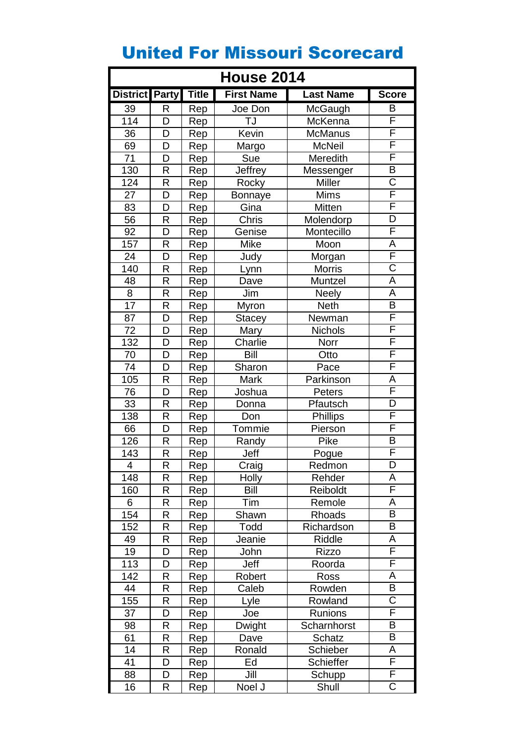| <b>House 2014</b> |              |              |                     |                  |                         |
|-------------------|--------------|--------------|---------------------|------------------|-------------------------|
| <b>District</b>   | <b>Party</b> | <b>Title</b> | <b>First Name</b>   | <b>Last Name</b> | <b>Score</b>            |
| 39                | R            | Rep          | Joe Don             | McGaugh          | B                       |
| $\overline{1}14$  | D            | Rep          | TJ                  | McKenna          | F                       |
| 36                | D            | Rep          | Kevin               | <b>McManus</b>   | F                       |
| 69                | D            | Rep          | Margo               | <b>McNeil</b>    | F                       |
| 71                | D            | Rep          | Sue                 | Meredith         | F                       |
| 130               | R            | Rep          | Jeffrey             | Messenger        | $\overline{\mathsf{B}}$ |
| 124               | R            | Rep          | Rocky               | <b>Miller</b>    | $\overline{\text{C}}$   |
| 27                | D            | Rep          | <b>Bonnaye</b>      | <b>Mims</b>      | F                       |
| 83                | D            | Rep          | Gina                | Mitten           | F                       |
| $\overline{56}$   | R            | Rep          | Chris               | Molendorp        | $\overline{\mathsf{D}}$ |
| 92                | D            | Rep          | Genise              | Montecillo       | F                       |
| 157               | R            | Rep          | Mike                | Moon             | Α                       |
| 24                | D            | Rep          | Judy                | Morgan           | $\overline{\mathsf{F}}$ |
| 140               | R            | Rep          | Lynn                | <b>Morris</b>    | $\overline{\text{C}}$   |
| 48                | R            | Rep          | Dave                | Muntzel          | A                       |
| $\overline{8}$    | R            | Rep          | Jim                 | <b>Neely</b>     | $\overline{\mathsf{A}}$ |
| 17                | R            | Rep          | Myron               | <b>Neth</b>      | $\overline{\mathsf{B}}$ |
| 87                | D            | Rep          | <b>Stacey</b>       | Newman           | F                       |
| 72                | D            | Rep          | Mary                | <b>Nichols</b>   | F                       |
| 132               | D            | Rep          | Charlie             | Norr             | F                       |
| 70                | D            | Rep          | Bill                | Otto             | F                       |
| 74                | D            | Rep          | Sharon              | Pace             | F                       |
| 105               | R            | Rep          | Mark                | Parkinson        | A                       |
| 76                | D            | Rep          | Joshua              | Peters           | F                       |
| 33                | R            | Rep          | Donna               | Pfautsch         | D                       |
| 138               | R            | Rep          | Don                 | <b>Phillips</b>  | F                       |
| 66                | D            | Rep          | Tommie              | Pierson          | F                       |
| 126               | R            | Rep          | Randy               | Pike             | B                       |
| 143               | R            | Rep          | Jeff                | Pogue            | F                       |
| 4                 | R            | Rep          | Craig               | Redmon           | D                       |
| 148               | R            | Rep          | <b>Holly</b>        | Rehder           | A                       |
| 160               | R            | Rep          | <b>Bill</b>         | Reiboldt         | F                       |
| 6                 | R            | Rep          | Tim                 | Remole           | Α                       |
| 154               | R            | Rep          | Shawn               | Rhoads           | B                       |
| 152               | R            | Rep          | Todd                | Richardson       | $\overline{\mathsf{B}}$ |
| 49                | R            | Rep          | Jeanie              | Riddle           | А                       |
| 19                | D            | Rep          | John                | Rizzo            | F                       |
| 113               | D            | Rep          | Jeff                | Roorda           | F                       |
| 142               | R            | Rep          | Robert              | Ross             | Α                       |
| 44                | R            | Rep          | Caleb               | Rowden           | B                       |
| 155               | R            | Rep          | Lyle                | Rowland          | $\overline{\text{C}}$   |
| 37                | D            | Rep          | Joe                 | <b>Runions</b>   | F                       |
| 98                | R            | Rep          | Dwight              | Scharnhorst      | $\overline{\mathsf{B}}$ |
| 61                | R            | Rep          | Dave                | Schatz           | B                       |
| 14                | R            | Rep          | Ronald              | Schieber         | A                       |
| 41                | D            | Rep          | Ed                  | Schieffer        | F                       |
| 88                | D            | Rep          | Jill                | Schupp           | F                       |
| 16                | R            | Rep          | Noel $\overline{J}$ | Shull            | $\overline{\text{C}}$   |